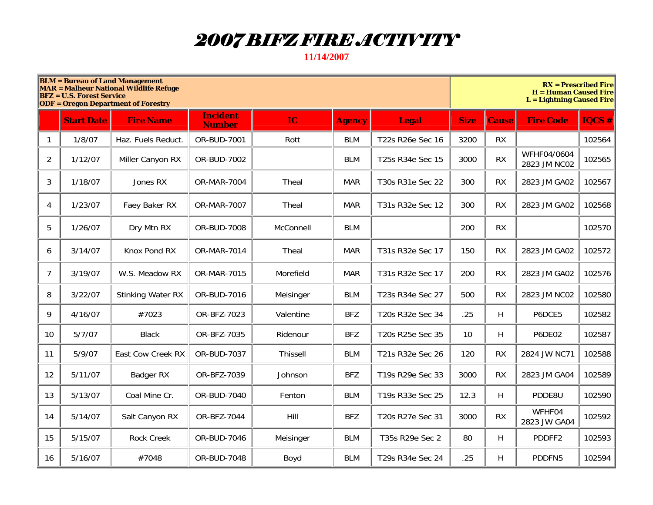## *2007 BIFZ FIRE ACTIVITY*

**11/14/2007** 

|    | <b>BLM</b> = Bureau of Land Management<br><b>MAR = Malheur National Wildlife Refuge</b><br><b>BFZ</b> = U.S. Forest Service<br><b>ODF</b> = Oregon Department of Forestry |                          |                                  |                 |               |                  |             |           | $RX =$ Prescribed Fire<br><b>H</b> = Human Caused Fire<br><b>L</b> = Lightning Caused Fire |               |  |  |
|----|---------------------------------------------------------------------------------------------------------------------------------------------------------------------------|--------------------------|----------------------------------|-----------------|---------------|------------------|-------------|-----------|--------------------------------------------------------------------------------------------|---------------|--|--|
|    | <b>Start Date</b>                                                                                                                                                         | <b>Fire Name</b>         | <b>Incident</b><br><b>Number</b> | IC              | <b>Agency</b> | <b>Legal</b>     | <b>Size</b> | Cause     | <b>Fire Code</b>                                                                           | <b>IQCS #</b> |  |  |
| 1  | 1/8/07                                                                                                                                                                    | Haz. Fuels Reduct.       | OR-BUD-7001                      | Rott            | <b>BLM</b>    | T22s R26e Sec 16 | 3200        | <b>RX</b> |                                                                                            | 102564        |  |  |
| 2  | 1/12/07                                                                                                                                                                   | Miller Canyon RX         | OR-BUD-7002                      |                 | <b>BLM</b>    | T25s R34e Sec 15 | 3000        | <b>RX</b> | WFHF04/0604<br>2823 JM NC02                                                                | 102565        |  |  |
| 3  | 1/18/07                                                                                                                                                                   | Jones RX                 | <b>OR-MAR-7004</b>               | Theal           | <b>MAR</b>    | T30s R31e Sec 22 | 300         | <b>RX</b> | 2823 JM GA02                                                                               | 102567        |  |  |
| 4  | 1/23/07                                                                                                                                                                   | Faey Baker RX            | <b>OR-MAR-7007</b>               | Theal           | <b>MAR</b>    | T31s R32e Sec 12 | 300         | <b>RX</b> | 2823 JM GA02                                                                               | 102568        |  |  |
| 5  | 1/26/07                                                                                                                                                                   | Dry Mtn RX               | OR-BUD-7008                      | McConnell       | <b>BLM</b>    |                  | 200         | <b>RX</b> |                                                                                            | 102570        |  |  |
| 6  | 3/14/07                                                                                                                                                                   | Knox Pond RX             | OR-MAR-7014                      | Theal           | <b>MAR</b>    | T31s R32e Sec 17 | 150         | <b>RX</b> | 2823 JM GA02                                                                               | 102572        |  |  |
| 7  | 3/19/07                                                                                                                                                                   | W.S. Meadow RX           | OR-MAR-7015                      | Morefield       | <b>MAR</b>    | T31s R32e Sec 17 | 200         | <b>RX</b> | 2823 JM GA02                                                                               | 102576        |  |  |
| 8  | 3/22/07                                                                                                                                                                   | <b>Stinking Water RX</b> | OR-BUD-7016                      | Meisinger       | <b>BLM</b>    | T23s R34e Sec 27 | 500         | <b>RX</b> | 2823 JM NC02                                                                               | 102580        |  |  |
| 9  | 4/16/07                                                                                                                                                                   | #7023                    | OR-BFZ-7023                      | Valentine       | <b>BFZ</b>    | T20s R32e Sec 34 | .25         | H.        | P6DCE5                                                                                     | 102582        |  |  |
| 10 | 5/7/07                                                                                                                                                                    | <b>Black</b>             | OR-BFZ-7035                      | Ridenour        | <b>BFZ</b>    | T20s R25e Sec 35 | 10          | H.        | <b>P6DE02</b>                                                                              | 102587        |  |  |
| 11 | 5/9/07                                                                                                                                                                    | East Cow Creek RX        | OR-BUD-7037                      | <b>Thissell</b> | <b>BLM</b>    | T21s R32e Sec 26 | 120         | <b>RX</b> | 2824 JW NC71                                                                               | 102588        |  |  |
| 12 | 5/11/07                                                                                                                                                                   | Badger RX                | OR-BFZ-7039                      | Johnson         | <b>BFZ</b>    | T19s R29e Sec 33 | 3000        | <b>RX</b> | 2823 JM GA04                                                                               | 102589        |  |  |
| 13 | 5/13/07                                                                                                                                                                   | Coal Mine Cr.            | OR-BUD-7040                      | Fenton          | <b>BLM</b>    | T19s R33e Sec 25 | 12.3        | H.        | PDDE8U                                                                                     | 102590        |  |  |
| 14 | 5/14/07                                                                                                                                                                   | Salt Canyon RX           | OR-BFZ-7044                      | Hill            | <b>BFZ</b>    | T20s R27e Sec 31 | 3000        | <b>RX</b> | WFHF04<br>2823 JW GA04                                                                     | 102592        |  |  |
| 15 | 5/15/07                                                                                                                                                                   | <b>Rock Creek</b>        | OR-BUD-7046                      | Meisinger       | <b>BLM</b>    | T35s R29e Sec 2  | 80          | H.        | PDDFF2                                                                                     | 102593        |  |  |
| 16 | 5/16/07                                                                                                                                                                   | #7048                    | OR-BUD-7048                      | Boyd            | <b>BLM</b>    | T29s R34e Sec 24 | .25         | H         | PDDFN5                                                                                     | 102594        |  |  |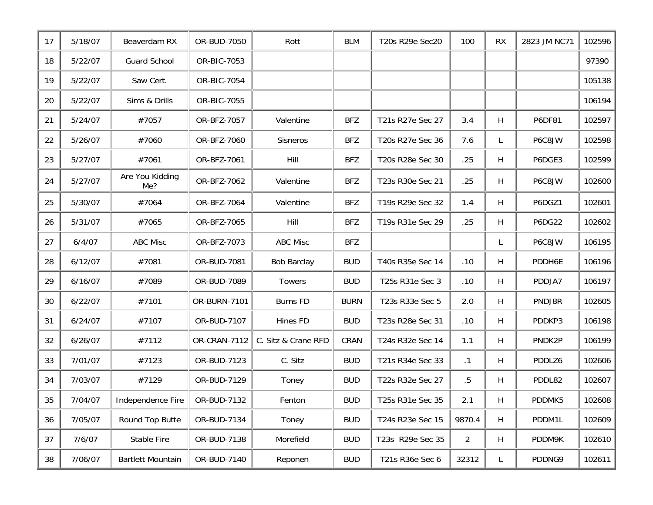| 17 | 5/18/07 | Beaverdam RX             | OR-BUD-7050  | Rott                | BLM         | T20s R29e Sec20  | 100            | <b>RX</b> | 2823 JM NC71  | 102596 |
|----|---------|--------------------------|--------------|---------------------|-------------|------------------|----------------|-----------|---------------|--------|
| 18 | 5/22/07 | <b>Guard School</b>      | OR-BIC-7053  |                     |             |                  |                |           |               | 97390  |
| 19 | 5/22/07 | Saw Cert.                | OR-BIC-7054  |                     |             |                  |                |           |               | 105138 |
| 20 | 5/22/07 | Sims & Drills            | OR-BIC-7055  |                     |             |                  |                |           |               | 106194 |
| 21 | 5/24/07 | #7057                    | OR-BFZ-7057  | Valentine           | <b>BFZ</b>  | T21s R27e Sec 27 | 3.4            | H         | P6DF81        | 102597 |
| 22 | 5/26/07 | #7060                    | OR-BFZ-7060  | Sisneros            | <b>BFZ</b>  | T20s R27e Sec 36 | 7.6            |           | P6C8JW        | 102598 |
| 23 | 5/27/07 | #7061                    | OR-BFZ-7061  | Hill                | <b>BFZ</b>  | T20s R28e Sec 30 | .25            | H         | P6DGE3        | 102599 |
| 24 | 5/27/07 | Are You Kidding<br>Me?   | OR-BFZ-7062  | Valentine           | <b>BFZ</b>  | T23s R30e Sec 21 | .25            | H         | P6C8JW        | 102600 |
| 25 | 5/30/07 | #7064                    | OR-BFZ-7064  | Valentine           | <b>BFZ</b>  | T19s R29e Sec 32 | 1.4            | H         | P6DGZ1        | 102601 |
| 26 | 5/31/07 | #7065                    | OR-BFZ-7065  | <b>Hill</b>         | <b>BFZ</b>  | T19s R31e Sec 29 | .25            | H         | <b>P6DG22</b> | 102602 |
| 27 | 6/4/07  | <b>ABC Misc</b>          | OR-BFZ-7073  | <b>ABC Misc</b>     | <b>BFZ</b>  |                  |                | L.        | P6C8JW        | 106195 |
| 28 | 6/12/07 | #7081                    | OR-BUD-7081  | <b>Bob Barclay</b>  | <b>BUD</b>  | T40s R35e Sec 14 | .10            | H         | PDDH6E        | 106196 |
| 29 | 6/16/07 | #7089                    | OR-BUD-7089  | Towers              | <b>BUD</b>  | T25s R31e Sec 3  | .10            | H         | PDDJA7        | 106197 |
| 30 | 6/22/07 | #7101                    | OR-BURN-7101 | <b>Burns FD</b>     | <b>BURN</b> | T23s R33e Sec 5  | 2.0            | H         | PNDJ8R        | 102605 |
| 31 | 6/24/07 | #7107                    | OR-BUD-7107  | Hines FD            | <b>BUD</b>  | T23s R28e Sec 31 | .10            | H         | PDDKP3        | 106198 |
| 32 | 6/26/07 | #7112                    | OR-CRAN-7112 | C. Sitz & Crane RFD | CRAN        | T24s R32e Sec 14 | 1.1            | H         | PNDK2P        | 106199 |
| 33 | 7/01/07 | #7123                    | OR-BUD-7123  | C. Sitz             | <b>BUD</b>  | T21s R34e Sec 33 | $\cdot$ 1      | H         | PDDLZ6        | 102606 |
| 34 | 7/03/07 | #7129                    | OR-BUD-7129  | Toney               | <b>BUD</b>  | T22s R32e Sec 27 | .5             | H         | PDDL82        | 102607 |
| 35 | 7/04/07 | Independence Fire        | OR-BUD-7132  | Fenton              | <b>BUD</b>  | T25s R31e Sec 35 | 2.1            | H         | PDDMK5        | 102608 |
| 36 | 7/05/07 | Round Top Butte          | OR-BUD-7134  | Toney               | <b>BUD</b>  | T24s R23e Sec 15 | 9870.4         | H         | PDDM1L        | 102609 |
| 37 | 7/6/07  | Stable Fire              | OR-BUD-7138  | Morefield           | <b>BUD</b>  | T23s R29e Sec 35 | $\overline{2}$ | H         | PDDM9K        | 102610 |
| 38 | 7/06/07 | <b>Bartlett Mountain</b> | OR-BUD-7140  | Reponen             | <b>BUD</b>  | T21s R36e Sec 6  | 32312          | L.        | PDDNG9        | 102611 |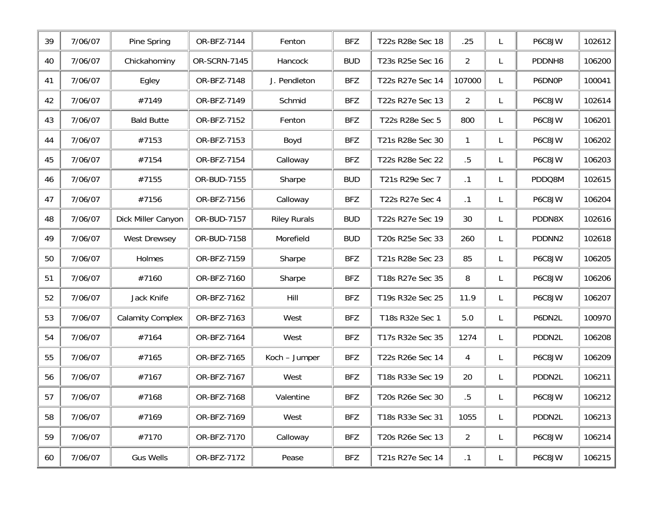| 39 | 7/06/07 | Pine Spring             | OR-BFZ-7144  | Fenton              | <b>BFZ</b> | T22s R28e Sec 18 | .25            | L  | P6C8JW | 102612 |
|----|---------|-------------------------|--------------|---------------------|------------|------------------|----------------|----|--------|--------|
| 40 | 7/06/07 | Chickahominy            | OR-SCRN-7145 | Hancock             | <b>BUD</b> | T23s R25e Sec 16 | $\overline{2}$ | L. | PDDNH8 | 106200 |
| 41 | 7/06/07 | Egley                   | OR-BFZ-7148  | J. Pendleton        | <b>BFZ</b> | T22s R27e Sec 14 | 107000         | L. | P6DN0P | 100041 |
| 42 | 7/06/07 | #7149                   | OR-BFZ-7149  | Schmid              | <b>BFZ</b> | T22s R27e Sec 13 | $\overline{2}$ | L. | P6C8JW | 102614 |
| 43 | 7/06/07 | <b>Bald Butte</b>       | OR-BFZ-7152  | Fenton              | <b>BFZ</b> | T22s R28e Sec 5  | 800            | L. | P6C8JW | 106201 |
| 44 | 7/06/07 | #7153                   | OR-BFZ-7153  | Boyd                | <b>BFZ</b> | T21s R28e Sec 30 | $\mathbf{1}$   | L. | P6C8JW | 106202 |
| 45 | 7/06/07 | #7154                   | OR-BFZ-7154  | Calloway            | <b>BFZ</b> | T22s R28e Sec 22 | $.5\,$         | L. | P6C8JW | 106203 |
| 46 | 7/06/07 | #7155                   | OR-BUD-7155  | Sharpe              | <b>BUD</b> | T21s R29e Sec 7  | $\cdot$ 1      | L. | PDDQ8M | 102615 |
| 47 | 7/06/07 | #7156                   | OR-BFZ-7156  | Calloway            | <b>BFZ</b> | T22s R27e Sec 4  | .1             | L. | P6C8JW | 106204 |
| 48 | 7/06/07 | Dick Miller Canyon      | OR-BUD-7157  | <b>Riley Rurals</b> | <b>BUD</b> | T22s R27e Sec 19 | 30             | L. | PDDN8X | 102616 |
| 49 | 7/06/07 | West Drewsey            | OR-BUD-7158  | Morefield           | <b>BUD</b> | T20s R25e Sec 33 | 260            | L. | PDDNN2 | 102618 |
| 50 | 7/06/07 | Holmes                  | OR-BFZ-7159  | Sharpe              | <b>BFZ</b> | T21s R28e Sec 23 | 85             | L. | P6C8JW | 106205 |
| 51 | 7/06/07 | #7160                   | OR-BFZ-7160  | Sharpe              | <b>BFZ</b> | T18s R27e Sec 35 | 8              | L. | P6C8JW | 106206 |
| 52 | 7/06/07 | Jack Knife              | OR-BFZ-7162  | Hill                | <b>BFZ</b> | T19s R32e Sec 25 | 11.9           | L. | P6C8JW | 106207 |
| 53 | 7/06/07 | <b>Calamity Complex</b> | OR-BFZ-7163  | West                | <b>BFZ</b> | T18s R32e Sec 1  | $5.0$          | L. | P6DN2L | 100970 |
| 54 | 7/06/07 | #7164                   | OR-BFZ-7164  | West                | <b>BFZ</b> | T17s R32e Sec 35 | 1274           | L. | PDDN2L | 106208 |
| 55 | 7/06/07 | #7165                   | OR-BFZ-7165  | Koch - Jumper       | <b>BFZ</b> | T22s R26e Sec 14 | $\overline{4}$ | L  | P6C8JW | 106209 |
| 56 | 7/06/07 | #7167                   | OR-BFZ-7167  | West                | <b>BFZ</b> | T18s R33e Sec 19 | 20             | L. | PDDN2L | 106211 |
| 57 | 7/06/07 | #7168                   | OR-BFZ-7168  | Valentine           | <b>BFZ</b> | T20s R26e Sec 30 | .5             |    | P6C8JW | 106212 |
| 58 | 7/06/07 | #7169                   | OR-BFZ-7169  | West                | <b>BFZ</b> | T18s R33e Sec 31 | 1055           | L  | PDDN2L | 106213 |
| 59 | 7/06/07 | #7170                   | OR-BFZ-7170  | Calloway            | <b>BFZ</b> | T20s R26e Sec 13 | $\overline{2}$ | L. | P6C8JW | 106214 |
| 60 | 7/06/07 | <b>Gus Wells</b>        | OR-BFZ-7172  | Pease               | <b>BFZ</b> | T21s R27e Sec 14 | $\cdot$ 1      | L, | P6C8JW | 106215 |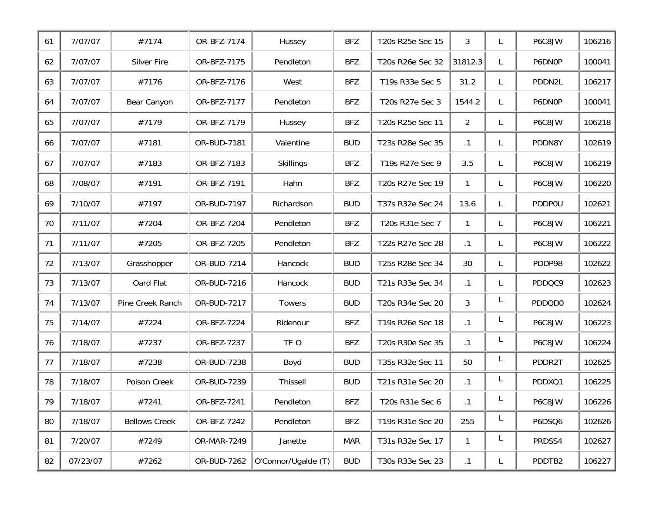| 61 | 7/07/07  | #7174                | OR-BFZ-7174 | Hussey              | <b>BFZ</b> | T20s R25e Sec 15 | 3              |    | P6C8JW | 106216 |
|----|----------|----------------------|-------------|---------------------|------------|------------------|----------------|----|--------|--------|
| 62 | 7/07/07  | <b>Silver Fire</b>   | OR-BFZ-7175 | Pendleton           | <b>BFZ</b> | T20s R26e Sec 32 | 31812.3        |    | P6DN0P | 100041 |
| 63 | 7/07/07  | #7176                | OR-BFZ-7176 | West                | <b>BFZ</b> | T19s R33e Sec 5  | 31.2           |    | PDDN2L | 106217 |
| 64 | 7/07/07  | Bear Canyon          | OR-BFZ-7177 | Pendleton           | <b>BFZ</b> | T20s R27e Sec 3  | 1544.2         |    | P6DN0P | 100041 |
| 65 | 7/07/07  | #7179                | OR-BFZ-7179 | Hussey              | <b>BFZ</b> | T20s R25e Sec 11 | $\overline{2}$ | L. | P6C8JW | 106218 |
| 66 | 7/07/07  | #7181                | OR-BUD-7181 | Valentine           | <b>BUD</b> | T23s R28e Sec 35 | $\cdot$ 1      | L  | PDDN8Y | 102619 |
| 67 | 7/07/07  | #7183                | OR-BFZ-7183 | <b>Skillings</b>    | <b>BFZ</b> | T19s R27e Sec 9  | 3.5            | L  | P6C8JW | 106219 |
| 68 | 7/08/07  | #7191                | OR-BFZ-7191 | Hahn                | <b>BFZ</b> | T20s R27e Sec 19 | 1              | L  | P6C8JW | 106220 |
| 69 | 7/10/07  | #7197                | OR-BUD-7197 | Richardson          | <b>BUD</b> | T37s R32e Sec 24 | 13.6           |    | PDDP0U | 102621 |
| 70 | 7/11/07  | #7204                | OR-BFZ-7204 | Pendleton           | <b>BFZ</b> | T20s R31e Sec 7  | 1              |    | P6C8JW | 106221 |
| 71 | 7/11/07  | #7205                | OR-BFZ-7205 | Pendleton           | <b>BFZ</b> | T22s R27e Sec 28 | $\cdot$ 1      |    | P6C8JW | 106222 |
| 72 | 7/13/07  | Grasshopper          | OR-BUD-7214 | Hancock             | <b>BUD</b> | T25s R28e Sec 34 | 30             | L  | PDDP98 | 102622 |
| 73 | 7/13/07  | Oard Flat            | OR-BUD-7216 | Hancock             | <b>BUD</b> | T21s R33e Sec 34 | $\cdot$ 1      |    | PDDQC9 | 102623 |
| 74 | 7/13/07  | Pine Creek Ranch     | OR-BUD-7217 | Towers              | <b>BUD</b> | T20s R34e Sec 20 | 3              | L  | PDDQD0 | 102624 |
| 75 | 7/14/07  | #7224                | OR-BFZ-7224 | Ridenour            | <b>BFZ</b> | T19s R26e Sec 18 | $\cdot$ 1      | L  | P6C8JW | 106223 |
| 76 | 7/18/07  | #7237                | OR-BFZ-7237 | TF O                | <b>BFZ</b> | T20s R30e Sec 35 | $\cdot$ 1      | L  | P6C8JW | 106224 |
| 77 | 7/18/07  | #7238                | OR-BUD-7238 | Boyd                | <b>BUD</b> | T35s R32e Sec 11 | 50             | L  | PDDR2T | 102625 |
| 78 | 7/18/07  | Poison Creek         | OR-BUD-7239 | Thissell            | <b>BUD</b> | T21s R31e Sec 20 | .1             | L  | PDDXQ1 | 106225 |
| 79 | 7/18/07  | #7241                | OR-BFZ-7241 | Pendleton           | <b>BFZ</b> | T20s R31e Sec 6  | .1             |    | P6C8JW | 106226 |
| 80 | 7/18/07  | <b>Bellows Creek</b> | OR-BFZ-7242 | Pendleton           | <b>BFZ</b> | T19s R31e Sec 20 | 255            | L, | P6DSQ6 | 102626 |
| 81 | 7/20/07  | #7249                | OR-MAR-7249 | Janette             | <b>MAR</b> | T31s R32e Sec 17 | 1              | L. | PRDSS4 | 102627 |
| 82 | 07/23/07 | #7262                | OR-BUD-7262 | O'Connor/Ugalde (T) | <b>BUD</b> | T30s R33e Sec 23 | $\cdot$ 1      | L  | PDDTB2 | 106227 |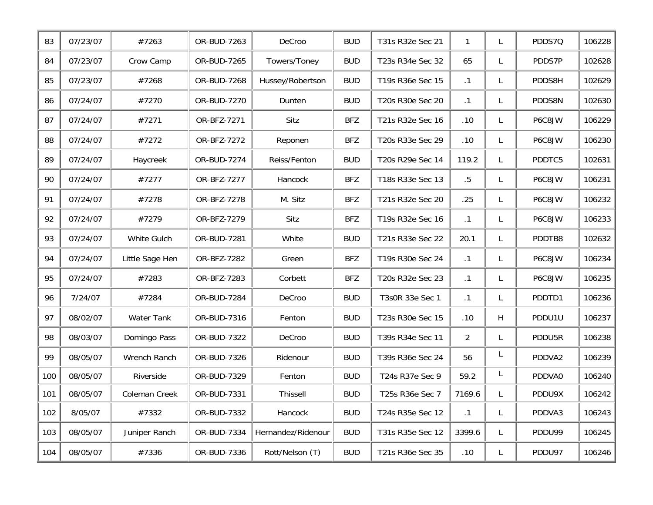| 83  | 07/23/07 | #7263             | OR-BUD-7263 | DeCroo             | <b>BUD</b> | T31s R32e Sec 21 | $\mathbf{1}$   | L  | PDDS7Q | 106228 |
|-----|----------|-------------------|-------------|--------------------|------------|------------------|----------------|----|--------|--------|
| 84  | 07/23/07 | Crow Camp         | OR-BUD-7265 | Towers/Toney       | <b>BUD</b> | T23s R34e Sec 32 | 65             | L. | PDDS7P | 102628 |
| 85  | 07/23/07 | #7268             | OR-BUD-7268 | Hussey/Robertson   | <b>BUD</b> | T19s R36e Sec 15 | $\cdot$ 1      | L. | PDDS8H | 102629 |
| 86  | 07/24/07 | #7270             | OR-BUD-7270 | Dunten             | <b>BUD</b> | T20s R30e Sec 20 | $\cdot$ 1      | L  | PDDS8N | 102630 |
| 87  | 07/24/07 | #7271             | OR-BFZ-7271 | Sitz               | <b>BFZ</b> | T21s R32e Sec 16 | .10            | L  | P6C8JW | 106229 |
| 88  | 07/24/07 | #7272             | OR-BFZ-7272 | Reponen            | <b>BFZ</b> | T20s R33e Sec 29 | .10            | L  | P6C8JW | 106230 |
| 89  | 07/24/07 | Haycreek          | OR-BUD-7274 | Reiss/Fenton       | <b>BUD</b> | T20s R29e Sec 14 | 119.2          | L  | PDDTC5 | 102631 |
| 90  | 07/24/07 | #7277             | OR-BFZ-7277 | Hancock            | <b>BFZ</b> | T18s R33e Sec 13 | $.5\,$         | L. | P6C8JW | 106231 |
| 91  | 07/24/07 | #7278             | OR-BFZ-7278 | M. Sitz            | <b>BFZ</b> | T21s R32e Sec 20 | .25            | L. | P6C8JW | 106232 |
| 92  | 07/24/07 | #7279             | OR-BFZ-7279 | Sitz               | <b>BFZ</b> | T19s R32e Sec 16 | .1             | L. | P6C8JW | 106233 |
| 93  | 07/24/07 | White Gulch       | OR-BUD-7281 | White              | <b>BUD</b> | T21s R33e Sec 22 | 20.1           | L  | PDDTB8 | 102632 |
| 94  | 07/24/07 | Little Sage Hen   | OR-BFZ-7282 | Green              | <b>BFZ</b> | T19s R30e Sec 24 | $\cdot$ 1      | L. | P6C8JW | 106234 |
| 95  | 07/24/07 | #7283             | OR-BFZ-7283 | Corbett            | <b>BFZ</b> | T20s R32e Sec 23 | .1             | L  | P6C8JW | 106235 |
| 96  | 7/24/07  | #7284             | OR-BUD-7284 | DeCroo             | <b>BUD</b> | T3s0R 33e Sec 1  | $\cdot$ 1      | L  | PDDTD1 | 106236 |
| 97  | 08/02/07 | <b>Water Tank</b> | OR-BUD-7316 | Fenton             | <b>BUD</b> | T23s R30e Sec 15 | .10            | H  | PDDU1U | 106237 |
| 98  | 08/03/07 | Domingo Pass      | OR-BUD-7322 | DeCroo             | <b>BUD</b> | T39s R34e Sec 11 | $\overline{2}$ | L. | PDDU5R | 106238 |
| 99  | 08/05/07 | Wrench Ranch      | OR-BUD-7326 | Ridenour           | <b>BUD</b> | T39s R36e Sec 24 | 56             | L  | PDDVA2 | 106239 |
| 100 | 08/05/07 | Riverside         | OR-BUD-7329 | Fenton             | <b>BUD</b> | T24s R37e Sec 9  | 59.2           | L  | PDDVA0 | 106240 |
| 101 | 08/05/07 | Coleman Creek     | OR-BUD-7331 | <b>Thissell</b>    | <b>BUD</b> | T25s R36e Sec 7  | 7169.6         |    | PDDU9X | 106242 |
| 102 | 8/05/07  | #7332             | OR-BUD-7332 | Hancock            | <b>BUD</b> | T24s R35e Sec 12 | $\cdot$ 1      | L  | PDDVA3 | 106243 |
| 103 | 08/05/07 | Juniper Ranch     | OR-BUD-7334 | Hernandez/Ridenour | <b>BUD</b> | T31s R35e Sec 12 | 3399.6         | L  | PDDU99 | 106245 |
| 104 | 08/05/07 | #7336             | OR-BUD-7336 | Rott/Nelson (T)    | <b>BUD</b> | T21s R36e Sec 35 | .10            | L  | PDDU97 | 106246 |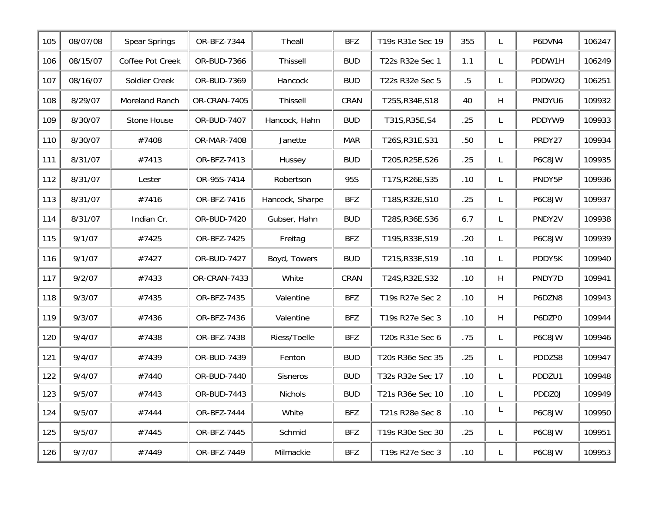| 105 | 08/07/08 | Spear Springs    | OR-BFZ-7344  | Theall          | <b>BFZ</b> | T19s R31e Sec 19 | 355    | L  | P6DVN4 | 106247 |
|-----|----------|------------------|--------------|-----------------|------------|------------------|--------|----|--------|--------|
| 106 | 08/15/07 | Coffee Pot Creek | OR-BUD-7366  | <b>Thissell</b> | <b>BUD</b> | T22s R32e Sec 1  | 1.1    | L  | PDDW1H | 106249 |
| 107 | 08/16/07 | Soldier Creek    | OR-BUD-7369  | Hancock         | <b>BUD</b> | T22s R32e Sec 5  | $.5\,$ | L. | PDDW2Q | 106251 |
| 108 | 8/29/07  | Moreland Ranch   | OR-CRAN-7405 | <b>Thissell</b> | CRAN       | T25S, R34E, S18  | 40     | H  | PNDYU6 | 109932 |
| 109 | 8/30/07  | Stone House      | OR-BUD-7407  | Hancock, Hahn   | <b>BUD</b> | T31S, R35E, S4   | .25    | L. | PDDYW9 | 109933 |
| 110 | 8/30/07  | #7408            | OR-MAR-7408  | Janette         | <b>MAR</b> | T26S, R31E, S31  | .50    | L  | PRDY27 | 109934 |
| 111 | 8/31/07  | #7413            | OR-BFZ-7413  | Hussey          | <b>BUD</b> | T20S, R25E, S26  | .25    | L  | P6C8JW | 109935 |
| 112 | 8/31/07  | Lester           | OR-95S-7414  | Robertson       | 95S        | T17S, R26E, S35  | .10    | L  | PNDY5P | 109936 |
| 113 | 8/31/07  | #7416            | OR-BFZ-7416  | Hancock, Sharpe | <b>BFZ</b> | T18S, R32E, S10  | .25    | L. | P6C8JW | 109937 |
| 114 | 8/31/07  | Indian Cr.       | OR-BUD-7420  | Gubser, Hahn    | <b>BUD</b> | T28S, R36E, S36  | 6.7    | L  | PNDY2V | 109938 |
| 115 | 9/1/07   | #7425            | OR-BFZ-7425  | Freitag         | <b>BFZ</b> | T19S, R33E, S19  | .20    | L  | P6C8JW | 109939 |
| 116 | 9/1/07   | #7427            | OR-BUD-7427  | Boyd, Towers    | <b>BUD</b> | T21S, R33E, S19  | .10    | L  | PDDY5K | 109940 |
| 117 | 9/2/07   | #7433            | OR-CRAN-7433 | White           | CRAN       | T24S, R32E, S32  | .10    | H  | PNDY7D | 109941 |
| 118 | 9/3/07   | #7435            | OR-BFZ-7435  | Valentine       | <b>BFZ</b> | T19s R27e Sec 2  | .10    | H  | P6DZN8 | 109943 |
| 119 | 9/3/07   | #7436            | OR-BFZ-7436  | Valentine       | <b>BFZ</b> | T19s R27e Sec 3  | .10    | H  | P6DZP0 | 109944 |
| 120 | 9/4/07   | #7438            | OR-BFZ-7438  | Riess/Toelle    | <b>BFZ</b> | T20s R31e Sec 6  | .75    | L. | P6C8JW | 109946 |
| 121 | 9/4/07   | #7439            | OR-BUD-7439  | Fenton          | <b>BUD</b> | T20s R36e Sec 35 | .25    | L  | PDDZS8 | 109947 |
| 122 | 9/4/07   | #7440            | OR-BUD-7440  | Sisneros        | <b>BUD</b> | T32s R32e Sec 17 | .10    | L  | PDDZU1 | 109948 |
| 123 | 9/5/07   | #7443            | OR-BUD-7443  | <b>Nichols</b>  | <b>BUD</b> | T21s R36e Sec 10 | .10    |    | PDDZ0J | 109949 |
| 124 | 9/5/07   | #7444            | OR-BFZ-7444  | White           | <b>BFZ</b> | T21s R28e Sec 8  | .10    | L  | P6C8JW | 109950 |
| 125 | 9/5/07   | #7445            | OR-BFZ-7445  | Schmid          | <b>BFZ</b> | T19s R30e Sec 30 | .25    | L. | P6C8JW | 109951 |
| 126 | 9/7/07   | #7449            | OR-BFZ-7449  | Milmackie       | BFZ        | T19s R27e Sec 3  | .10    | L  | P6C8JW | 109953 |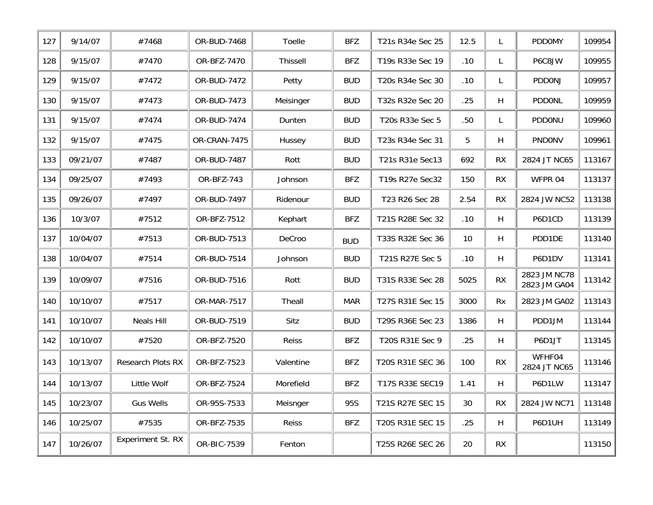| 127 | 9/14/07  | #7468             | OR-BUD-7468  | Toelle    | <b>BFZ</b> | T21s R34e Sec 25 | 12.5 | L         | PDD0MY                       | 109954 |
|-----|----------|-------------------|--------------|-----------|------------|------------------|------|-----------|------------------------------|--------|
| 128 | 9/15/07  | #7470             | OR-BFZ-7470  | Thissell  | <b>BFZ</b> | T19s R33e Sec 19 | .10  | L         | P6C8JW                       | 109955 |
| 129 | 9/15/07  | #7472             | OR-BUD-7472  | Petty     | <b>BUD</b> | T20s R34e Sec 30 | .10  | L         | PDDONJ                       | 109957 |
| 130 | 9/15/07  | #7473             | OR-BUD-7473  | Meisinger | <b>BUD</b> | T32s R32e Sec 20 | .25  | H         | <b>PDDONL</b>                | 109959 |
| 131 | 9/15/07  | #7474             | OR-BUD-7474  | Dunten    | <b>BUD</b> | T20s R33e Sec 5  | .50  | L         | PDDONU                       | 109960 |
| 132 | 9/15/07  | #7475             | OR-CRAN-7475 | Hussey    | <b>BUD</b> | T23s R34e Sec 31 | 5    | H         | PNDONV                       | 109961 |
| 133 | 09/21/07 | #7487             | OR-BUD-7487  | Rott      | <b>BUD</b> | T21s R31e Sec13  | 692  | RX        | 2824 JT NC65                 | 113167 |
| 134 | 09/25/07 | #7493             | OR-BFZ-743   | Johnson   | <b>BFZ</b> | T19s R27e Sec32  | 150  | <b>RX</b> | WFPR 04                      | 113137 |
| 135 | 09/26/07 | #7497             | OR-BUD-7497  | Ridenour  | <b>BUD</b> | T23 R26 Sec 28   | 2.54 | <b>RX</b> | 2824 JW NC52                 | 113138 |
| 136 | 10/3/07  | #7512             | OR-BFZ-7512  | Kephart   | <b>BFZ</b> | T21S R28E Sec 32 | .10  | H         | P6D1CD                       | 113139 |
| 137 | 10/04/07 | #7513             | OR-BUD-7513  | DeCroo    | <b>BUD</b> | T33S R32E Sec 36 | 10   | H         | PDD1DE                       | 113140 |
| 138 | 10/04/07 | #7514             | OR-BUD-7514  | Johnson   | <b>BUD</b> | T21S R27E Sec 5  | .10  | H         | P6D1DV                       | 113141 |
| 139 | 10/09/07 | #7516             | OR-BUD-7516  | Rott      | <b>BUD</b> | T31S R33E Sec 28 | 5025 | RX        | 2823 JM NC78<br>2823 JM GA04 | 113142 |
| 140 | 10/10/07 | #7517             | OR-MAR-7517  | Theall    | <b>MAR</b> | T27S R31E Sec 15 | 3000 | <b>Rx</b> | 2823 JM GA02                 | 113143 |
| 141 | 10/10/07 | <b>Neals Hill</b> | OR-BUD-7519  | Sitz      | <b>BUD</b> | T29S R36E Sec 23 | 1386 | H         | PDD1JM                       | 113144 |
| 142 | 10/10/07 | #7520             | OR-BFZ-7520  | Reiss     | <b>BFZ</b> | T20S R31E Sec 9  | .25  | H         | P6D1JT                       | 113145 |
| 143 | 10/13/07 | Research Plots RX | OR-BFZ-7523  | Valentine | <b>BFZ</b> | T20S R31E SEC 36 | 100  | <b>RX</b> | WFHF04<br>2824 JT NC65       | 113146 |
| 144 | 10/13/07 | Little Wolf       | OR-BFZ-7524  | Morefield | <b>BFZ</b> | T17S R33E SEC19  | 1.41 | H         | P6D1LW                       | 113147 |
| 145 | 10/23/07 | <b>Gus Wells</b>  | OR-95S-7533  | Meisnger  | 95S        | T21S R27E SEC 15 | 30   | <b>RX</b> | 2824 JW NC71                 | 113148 |
| 146 | 10/25/07 | #7535             | OR-BFZ-7535  | Reiss     | <b>BFZ</b> | T20S R31E SEC 15 | .25  | H         | P6D1UH                       | 113149 |
| 147 | 10/26/07 | Experiment St. RX | OR-BIC-7539  | Fenton    |            | T25S R26E SEC 26 | 20   | <b>RX</b> |                              | 113150 |